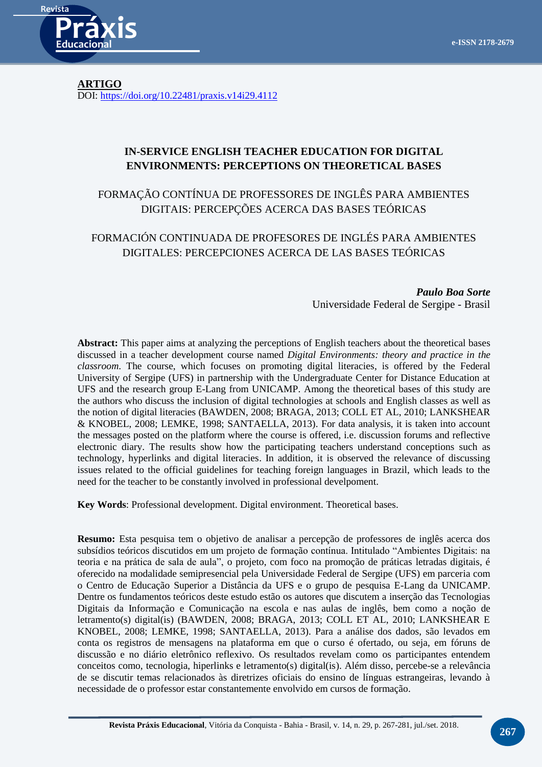

**ARTIGO** DOI:<https://doi.org/10.22481/praxis.v14i29.4112>

# **IN-SERVICE ENGLISH TEACHER EDUCATION FOR DIGITAL ENVIRONMENTS: PERCEPTIONS ON THEORETICAL BASES**

FORMAÇÃO CONTÍNUA DE PROFESSORES DE INGLÊS PARA AMBIENTES DIGITAIS: PERCEPÇÕES ACERCA DAS BASES TEÓRICAS

# FORMACIÓN CONTINUADA DE PROFESORES DE INGLÉS PARA AMBIENTES DIGITALES: PERCEPCIONES ACERCA DE LAS BASES TEÓRICAS

*Paulo Boa Sorte* Universidade Federal de Sergipe - Brasil

**Abstract:** This paper aims at analyzing the perceptions of English teachers about the theoretical bases discussed in a teacher development course named *Digital Environments: theory and practice in the classroom*. The course, which focuses on promoting digital literacies, is offered by the Federal University of Sergipe (UFS) in partnership with the Undergraduate Center for Distance Education at UFS and the research group E-Lang from UNICAMP. Among the theoretical bases of this study are the authors who discuss the inclusion of digital technologies at schools and English classes as well as the notion of digital literacies (BAWDEN, 2008; BRAGA, 2013; COLL ET AL, 2010; LANKSHEAR & KNOBEL, 2008; LEMKE, 1998; SANTAELLA, 2013). For data analysis, it is taken into account the messages posted on the platform where the course is offered, i.e. discussion forums and reflective electronic diary. The results show how the participating teachers understand conceptions such as technology, hyperlinks and digital literacies. In addition, it is observed the relevance of discussing issues related to the official guidelines for teaching foreign languages in Brazil, which leads to the need for the teacher to be constantly involved in professional develpoment.

**Key Words**: Professional development. Digital environment. Theoretical bases.

**Resumo:** Esta pesquisa tem o objetivo de analisar a percepção de professores de inglês acerca dos subsídios teóricos discutidos em um projeto de formação contínua. Intitulado "Ambientes Digitais: na teoria e na prática de sala de aula", o projeto, com foco na promoção de práticas letradas digitais, é oferecido na modalidade semipresencial pela Universidade Federal de Sergipe (UFS) em parceria com o Centro de Educação Superior a Distância da UFS e o grupo de pesquisa E-Lang da UNICAMP. Dentre os fundamentos teóricos deste estudo estão os autores que discutem a inserção das Tecnologias Digitais da Informação e Comunicação na escola e nas aulas de inglês, bem como a noção de letramento(s) digital(is) (BAWDEN, 2008; BRAGA, 2013; COLL ET AL, 2010; LANKSHEAR E KNOBEL, 2008; LEMKE, 1998; SANTAELLA, 2013). Para a análise dos dados, são levados em conta os registros de mensagens na plataforma em que o curso é ofertado, ou seja, em fóruns de discussão e no diário eletrônico reflexivo. Os resultados revelam como os participantes entendem conceitos como, tecnologia, hiperlinks e letramento(s) digital(is). Além disso, percebe-se a relevância de se discutir temas relacionados às diretrizes oficiais do ensino de línguas estrangeiras, levando à necessidade de o professor estar constantemente envolvido em cursos de formação.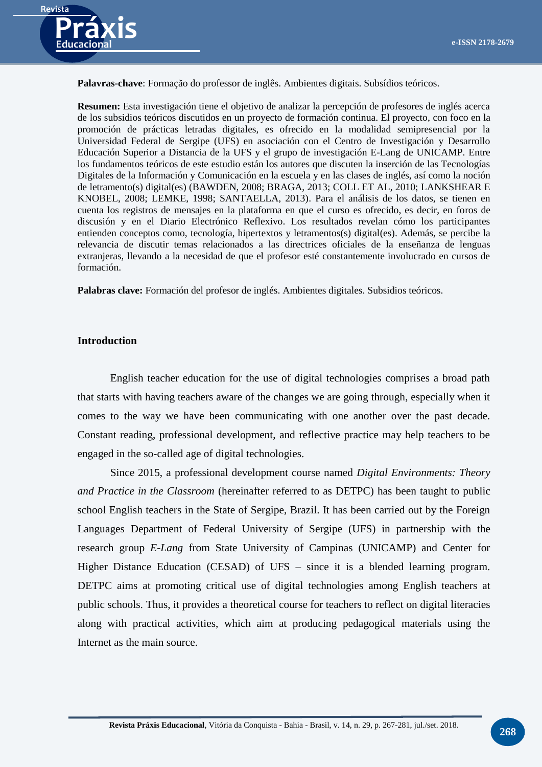

**Palavras-chave**: Formação do professor de inglês. Ambientes digitais. Subsídios teóricos.

**Resumen:** Esta investigación tiene el objetivo de analizar la percepción de profesores de inglés acerca de los subsidios teóricos discutidos en un proyecto de formación continua. El proyecto, con foco en la promoción de prácticas letradas digitales, es ofrecido en la modalidad semipresencial por la Universidad Federal de Sergipe (UFS) en asociación con el Centro de Investigación y Desarrollo Educación Superior a Distancia de la UFS y el grupo de investigación E-Lang de UNICAMP. Entre los fundamentos teóricos de este estudio están los autores que discuten la inserción de las Tecnologías Digitales de la Información y Comunicación en la escuela y en las clases de inglés, así como la noción de letramento(s) digital(es) (BAWDEN, 2008; BRAGA, 2013; COLL ET AL, 2010; LANKSHEAR E KNOBEL, 2008; LEMKE, 1998; SANTAELLA, 2013). Para el análisis de los datos, se tienen en cuenta los registros de mensajes en la plataforma en que el curso es ofrecido, es decir, en foros de discusión y en el Diario Electrónico Reflexivo. Los resultados revelan cómo los participantes entienden conceptos como, tecnología, hipertextos y letramentos(s) digital(es). Además, se percibe la relevancia de discutir temas relacionados a las directrices oficiales de la enseñanza de lenguas extranjeras, llevando a la necesidad de que el profesor esté constantemente involucrado en cursos de formación.

**Palabras clave:** Formación del profesor de inglés. Ambientes digitales. Subsidios teóricos.

### **Introduction**

English teacher education for the use of digital technologies comprises a broad path that starts with having teachers aware of the changes we are going through, especially when it comes to the way we have been communicating with one another over the past decade. Constant reading, professional development, and reflective practice may help teachers to be engaged in the so-called age of digital technologies.

Since 2015, a professional development course named *Digital Environments: Theory and Practice in the Classroom* (hereinafter referred to as DETPC) has been taught to public school English teachers in the State of Sergipe, Brazil. It has been carried out by the Foreign Languages Department of Federal University of Sergipe (UFS) in partnership with the research group *E-Lang* from State University of Campinas (UNICAMP) and Center for Higher Distance Education (CESAD) of UFS – since it is a blended learning program. DETPC aims at promoting critical use of digital technologies among English teachers at public schools. Thus, it provides a theoretical course for teachers to reflect on digital literacies along with practical activities, which aim at producing pedagogical materials using the Internet as the main source.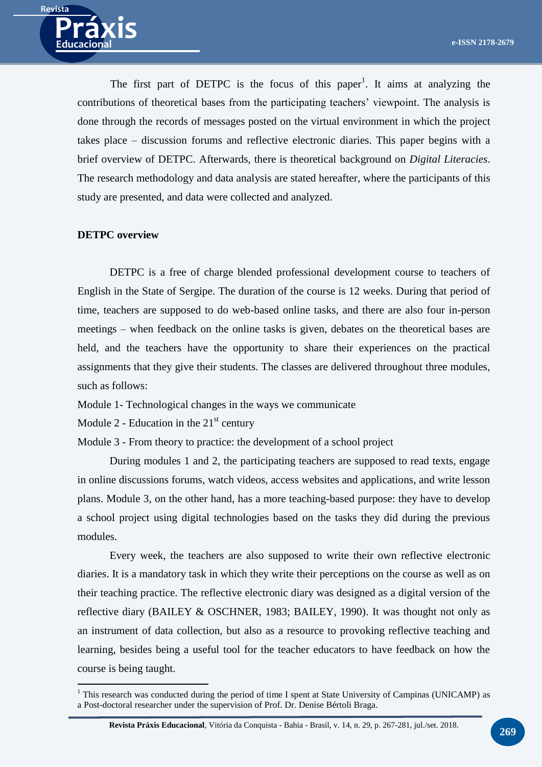

The first part of DETPC is the focus of this paper<sup>1</sup>. It aims at analyzing the contributions of theoretical bases from the participating teachers' viewpoint. The analysis is done through the records of messages posted on the virtual environment in which the project takes place – discussion forums and reflective electronic diaries. This paper begins with a brief overview of DETPC. Afterwards, there is theoretical background on *Digital Literacies*. The research methodology and data analysis are stated hereafter, where the participants of this study are presented, and data were collected and analyzed.

## **DETPC overview**

<u>.</u>

DETPC is a free of charge blended professional development course to teachers of English in the State of Sergipe. The duration of the course is 12 weeks. During that period of time, teachers are supposed to do web-based online tasks, and there are also four in-person meetings – when feedback on the online tasks is given, debates on the theoretical bases are held, and the teachers have the opportunity to share their experiences on the practical assignments that they give their students. The classes are delivered throughout three modules, such as follows:

Module 1- Technological changes in the ways we communicate

Module 2 - Education in the  $21<sup>st</sup>$  century

Module 3 - From theory to practice: the development of a school project

During modules 1 and 2, the participating teachers are supposed to read texts, engage in online discussions forums, watch videos, access websites and applications, and write lesson plans. Module 3, on the other hand, has a more teaching-based purpose: they have to develop a school project using digital technologies based on the tasks they did during the previous modules.

Every week, the teachers are also supposed to write their own reflective electronic diaries. It is a mandatory task in which they write their perceptions on the course as well as on their teaching practice. The reflective electronic diary was designed as a digital version of the reflective diary (BAILEY & OSCHNER, 1983; BAILEY, 1990). It was thought not only as an instrument of data collection, but also as a resource to provoking reflective teaching and learning, besides being a useful tool for the teacher educators to have feedback on how the course is being taught.

 $1$  This research was conducted during the period of time I spent at State University of Campinas (UNICAMP) as a Post-doctoral researcher under the supervision of Prof. Dr. Denise Bértoli Braga.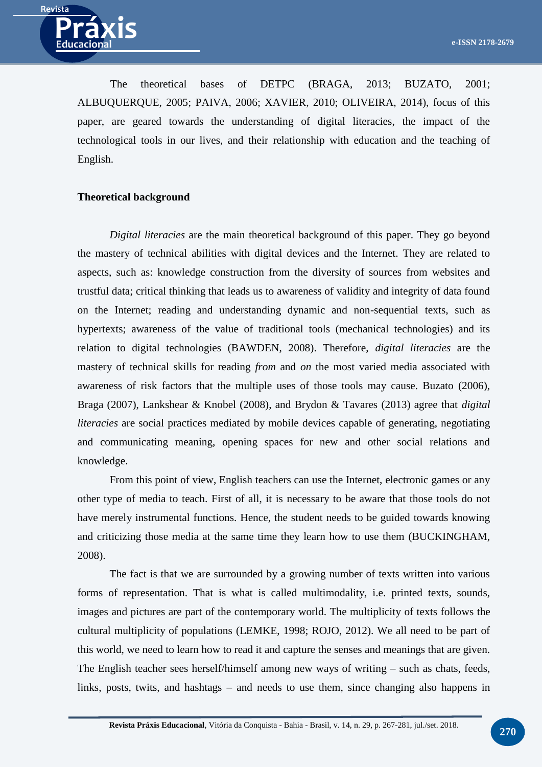

The theoretical bases of DETPC (BRAGA, 2013; BUZATO, 2001; ALBUQUERQUE, 2005; PAIVA, 2006; XAVIER, 2010; OLIVEIRA, 2014), focus of this paper, are geared towards the understanding of digital literacies, the impact of the technological tools in our lives, and their relationship with education and the teaching of English.

#### **Theoretical background**

*Digital literacies* are the main theoretical background of this paper. They go beyond the mastery of technical abilities with digital devices and the Internet. They are related to aspects, such as: knowledge construction from the diversity of sources from websites and trustful data; critical thinking that leads us to awareness of validity and integrity of data found on the Internet; reading and understanding dynamic and non-sequential texts, such as hypertexts; awareness of the value of traditional tools (mechanical technologies) and its relation to digital technologies (BAWDEN, 2008). Therefore, *digital literacies* are the mastery of technical skills for reading *from* and *on* the most varied media associated with awareness of risk factors that the multiple uses of those tools may cause. Buzato (2006), Braga (2007), Lankshear & Knobel (2008), and Brydon & Tavares (2013) agree that *digital literacies* are social practices mediated by mobile devices capable of generating, negotiating and communicating meaning, opening spaces for new and other social relations and knowledge.

From this point of view, English teachers can use the Internet, electronic games or any other type of media to teach. First of all, it is necessary to be aware that those tools do not have merely instrumental functions. Hence, the student needs to be guided towards knowing and criticizing those media at the same time they learn how to use them (BUCKINGHAM, 2008).

The fact is that we are surrounded by a growing number of texts written into various forms of representation. That is what is called multimodality, i.e. printed texts, sounds, images and pictures are part of the contemporary world. The multiplicity of texts follows the cultural multiplicity of populations (LEMKE, 1998; ROJO, 2012). We all need to be part of this world, we need to learn how to read it and capture the senses and meanings that are given. The English teacher sees herself/himself among new ways of writing – such as chats, feeds, links, posts, twits, and hashtags – and needs to use them, since changing also happens in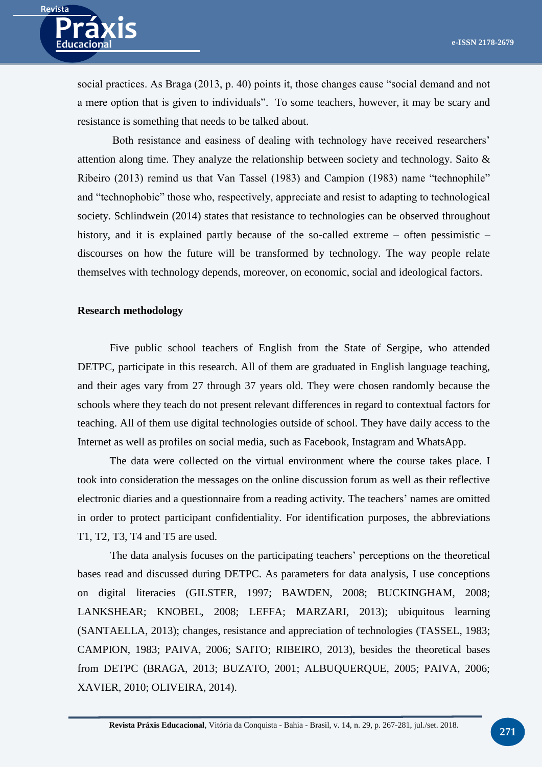

social practices. As Braga (2013, p. 40) points it, those changes cause "social demand and not a mere option that is given to individuals". To some teachers, however, it may be scary and resistance is something that needs to be talked about.

Both resistance and easiness of dealing with technology have received researchers' attention along time. They analyze the relationship between society and technology. Saito & Ribeiro (2013) remind us that Van Tassel (1983) and Campion (1983) name "technophile" and "technophobic" those who, respectively, appreciate and resist to adapting to technological society. Schlindwein (2014) states that resistance to technologies can be observed throughout history, and it is explained partly because of the so-called extreme – often pessimistic – discourses on how the future will be transformed by technology. The way people relate themselves with technology depends, moreover, on economic, social and ideological factors.

## **Research methodology**

Five public school teachers of English from the State of Sergipe, who attended DETPC, participate in this research. All of them are graduated in English language teaching, and their ages vary from 27 through 37 years old. They were chosen randomly because the schools where they teach do not present relevant differences in regard to contextual factors for teaching. All of them use digital technologies outside of school. They have daily access to the Internet as well as profiles on social media, such as Facebook, Instagram and WhatsApp.

The data were collected on the virtual environment where the course takes place. I took into consideration the messages on the online discussion forum as well as their reflective electronic diaries and a questionnaire from a reading activity. The teachers' names are omitted in order to protect participant confidentiality. For identification purposes, the abbreviations T1, T2, T3, T4 and T5 are used.

The data analysis focuses on the participating teachers' perceptions on the theoretical bases read and discussed during DETPC. As parameters for data analysis, I use conceptions on digital literacies (GILSTER, 1997; BAWDEN, 2008; BUCKINGHAM, 2008; LANKSHEAR; KNOBEL, 2008; LEFFA; MARZARI, 2013); ubiquitous learning (SANTAELLA, 2013); changes, resistance and appreciation of technologies (TASSEL, 1983; CAMPION, 1983; PAIVA, 2006; SAITO; RIBEIRO, 2013), besides the theoretical bases from DETPC (BRAGA, 2013; BUZATO, 2001; ALBUQUERQUE, 2005; PAIVA, 2006; XAVIER, 2010; OLIVEIRA, 2014).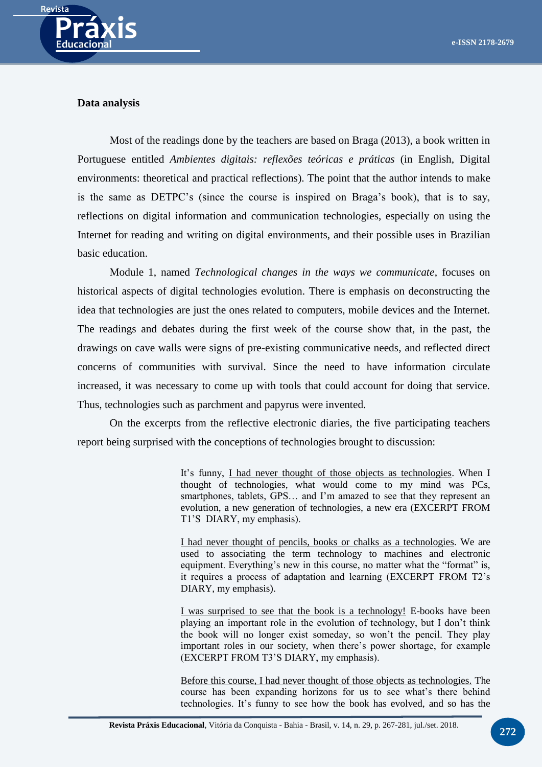

## **Data analysis**

Most of the readings done by the teachers are based on Braga (2013), a book written in Portuguese entitled *Ambientes digitais: reflexões teóricas e práticas* (in English, Digital environments: theoretical and practical reflections). The point that the author intends to make is the same as DETPC's (since the course is inspired on Braga's book), that is to say, reflections on digital information and communication technologies, especially on using the Internet for reading and writing on digital environments, and their possible uses in Brazilian basic education.

Module 1, named *Technological changes in the ways we communicate*, focuses on historical aspects of digital technologies evolution. There is emphasis on deconstructing the idea that technologies are just the ones related to computers, mobile devices and the Internet. The readings and debates during the first week of the course show that, in the past, the drawings on cave walls were signs of pre-existing communicative needs, and reflected direct concerns of communities with survival. Since the need to have information circulate increased, it was necessary to come up with tools that could account for doing that service. Thus, technologies such as parchment and papyrus were invented.

On the excerpts from the reflective electronic diaries, the five participating teachers report being surprised with the conceptions of technologies brought to discussion:

> It's funny, I had never thought of those objects as technologies. When I thought of technologies, what would come to my mind was PCs, smartphones, tablets, GPS… and I'm amazed to see that they represent an evolution, a new generation of technologies, a new era (EXCERPT FROM T1'S DIARY, my emphasis).

> I had never thought of pencils, books or chalks as a technologies. We are used to associating the term technology to machines and electronic equipment. Everything's new in this course, no matter what the "format" is, it requires a process of adaptation and learning (EXCERPT FROM T2's DIARY, my emphasis).

> I was surprised to see that the book is a technology! E-books have been playing an important role in the evolution of technology, but I don't think the book will no longer exist someday, so won't the pencil. They play important roles in our society, when there's power shortage, for example (EXCERPT FROM T3'S DIARY, my emphasis).

> Before this course, I had never thought of those objects as technologies. The course has been expanding horizons for us to see what's there behind technologies. It's funny to see how the book has evolved, and so has the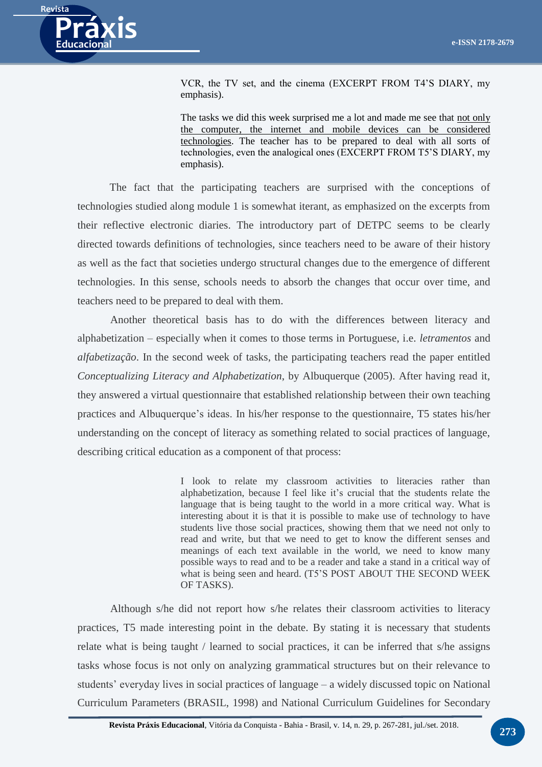

VCR, the TV set, and the cinema (EXCERPT FROM T4'S DIARY, my emphasis).

The tasks we did this week surprised me a lot and made me see that not only the computer, the internet and mobile devices can be considered technologies. The teacher has to be prepared to deal with all sorts of technologies, even the analogical ones (EXCERPT FROM T5'S DIARY, my emphasis).

The fact that the participating teachers are surprised with the conceptions of technologies studied along module 1 is somewhat iterant, as emphasized on the excerpts from their reflective electronic diaries. The introductory part of DETPC seems to be clearly directed towards definitions of technologies, since teachers need to be aware of their history as well as the fact that societies undergo structural changes due to the emergence of different technologies. In this sense, schools needs to absorb the changes that occur over time, and teachers need to be prepared to deal with them.

Another theoretical basis has to do with the differences between literacy and alphabetization – especially when it comes to those terms in Portuguese, i.e. *letramentos* and *alfabetização*. In the second week of tasks, the participating teachers read the paper entitled *Conceptualizing Literacy and Alphabetization*, by Albuquerque (2005). After having read it, they answered a virtual questionnaire that established relationship between their own teaching practices and Albuquerque's ideas. In his/her response to the questionnaire, T5 states his/her understanding on the concept of literacy as something related to social practices of language, describing critical education as a component of that process:

> I look to relate my classroom activities to literacies rather than alphabetization, because I feel like it's crucial that the students relate the language that is being taught to the world in a more critical way. What is interesting about it is that it is possible to make use of technology to have students live those social practices, showing them that we need not only to read and write, but that we need to get to know the different senses and meanings of each text available in the world, we need to know many possible ways to read and to be a reader and take a stand in a critical way of what is being seen and heard. (T5'S POST ABOUT THE SECOND WEEK OF TASKS).

Although s/he did not report how s/he relates their classroom activities to literacy practices, T5 made interesting point in the debate. By stating it is necessary that students relate what is being taught / learned to social practices, it can be inferred that s/he assigns tasks whose focus is not only on analyzing grammatical structures but on their relevance to students' everyday lives in social practices of language – a widely discussed topic on National Curriculum Parameters (BRASIL, 1998) and National Curriculum Guidelines for Secondary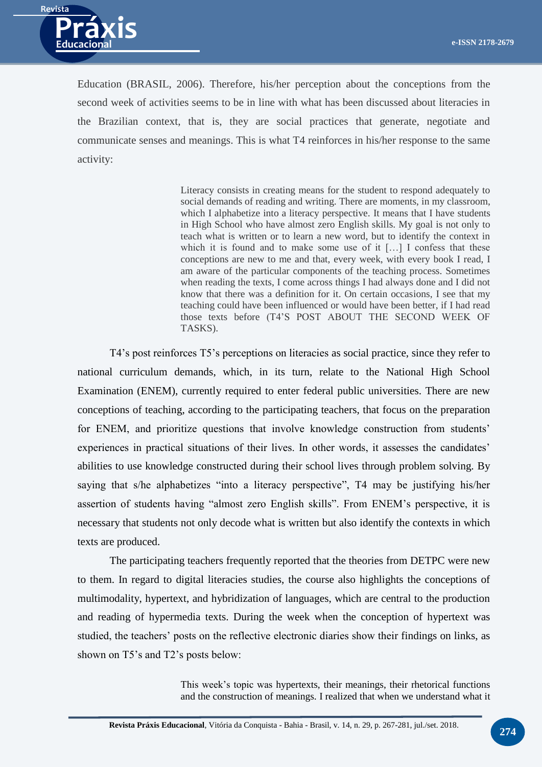

Education (BRASIL, 2006). Therefore, his/her perception about the conceptions from the second week of activities seems to be in line with what has been discussed about literacies in the Brazilian context, that is, they are social practices that generate, negotiate and communicate senses and meanings. This is what T4 reinforces in his/her response to the same activity:

> Literacy consists in creating means for the student to respond adequately to social demands of reading and writing. There are moments, in my classroom, which I alphabetize into a literacy perspective. It means that I have students in High School who have almost zero English skills. My goal is not only to teach what is written or to learn a new word, but to identify the context in which it is found and to make some use of it [...] I confess that these conceptions are new to me and that, every week, with every book I read, I am aware of the particular components of the teaching process. Sometimes when reading the texts, I come across things I had always done and I did not know that there was a definition for it. On certain occasions, I see that my teaching could have been influenced or would have been better, if I had read those texts before (T4'S POST ABOUT THE SECOND WEEK OF TASKS).

T4's post reinforces T5's perceptions on literacies as social practice, since they refer to national curriculum demands, which, in its turn, relate to the National High School Examination (ENEM), currently required to enter federal public universities. There are new conceptions of teaching, according to the participating teachers, that focus on the preparation for ENEM, and prioritize questions that involve knowledge construction from students' experiences in practical situations of their lives. In other words, it assesses the candidates' abilities to use knowledge constructed during their school lives through problem solving. By saying that s/he alphabetizes "into a literacy perspective", T4 may be justifying his/her assertion of students having "almost zero English skills". From ENEM's perspective, it is necessary that students not only decode what is written but also identify the contexts in which texts are produced.

The participating teachers frequently reported that the theories from DETPC were new to them. In regard to digital literacies studies, the course also highlights the conceptions of multimodality, hypertext, and hybridization of languages, which are central to the production and reading of hypermedia texts. During the week when the conception of hypertext was studied, the teachers' posts on the reflective electronic diaries show their findings on links, as shown on T5's and T2's posts below:

> This week's topic was hypertexts, their meanings, their rhetorical functions and the construction of meanings. I realized that when we understand what it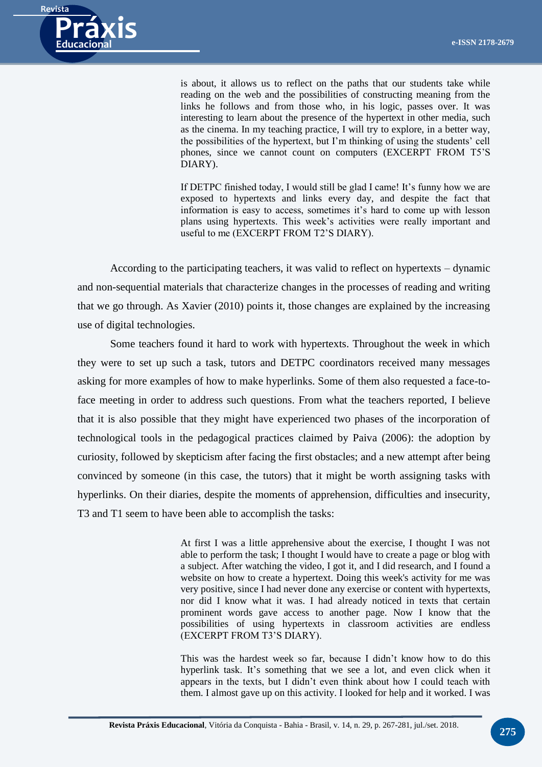

is about, it allows us to reflect on the paths that our students take while reading on the web and the possibilities of constructing meaning from the links he follows and from those who, in his logic, passes over. It was interesting to learn about the presence of the hypertext in other media, such as the cinema. In my teaching practice, I will try to explore, in a better way, the possibilities of the hypertext, but I'm thinking of using the students' cell phones, since we cannot count on computers (EXCERPT FROM T5'S DIARY).

If DETPC finished today, I would still be glad I came! It's funny how we are exposed to hypertexts and links every day, and despite the fact that information is easy to access, sometimes it's hard to come up with lesson plans using hypertexts. This week's activities were really important and useful to me (EXCERPT FROM T2'S DIARY).

According to the participating teachers, it was valid to reflect on hypertexts – dynamic and non-sequential materials that characterize changes in the processes of reading and writing that we go through. As Xavier (2010) points it, those changes are explained by the increasing use of digital technologies.

Some teachers found it hard to work with hypertexts. Throughout the week in which they were to set up such a task, tutors and DETPC coordinators received many messages asking for more examples of how to make hyperlinks. Some of them also requested a face-toface meeting in order to address such questions. From what the teachers reported, I believe that it is also possible that they might have experienced two phases of the incorporation of technological tools in the pedagogical practices claimed by Paiva (2006): the adoption by curiosity, followed by skepticism after facing the first obstacles; and a new attempt after being convinced by someone (in this case, the tutors) that it might be worth assigning tasks with hyperlinks. On their diaries, despite the moments of apprehension, difficulties and insecurity, T3 and T1 seem to have been able to accomplish the tasks:

> At first I was a little apprehensive about the exercise, I thought I was not able to perform the task; I thought I would have to create a page or blog with a subject. After watching the video, I got it, and I did research, and I found a website on how to create a hypertext. Doing this week's activity for me was very positive, since I had never done any exercise or content with hypertexts, nor did I know what it was. I had already noticed in texts that certain prominent words gave access to another page. Now I know that the possibilities of using hypertexts in classroom activities are endless (EXCERPT FROM T3'S DIARY).

> This was the hardest week so far, because I didn't know how to do this hyperlink task. It's something that we see a lot, and even click when it appears in the texts, but I didn't even think about how I could teach with them. I almost gave up on this activity. I looked for help and it worked. I was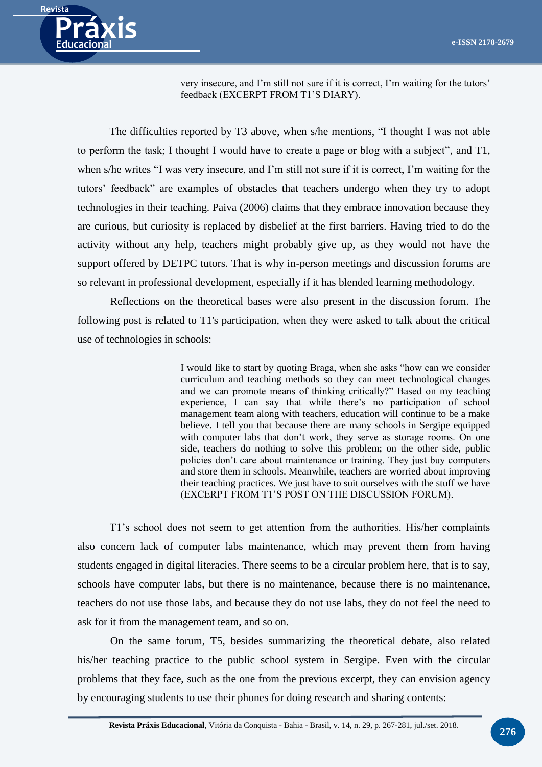

very insecure, and I'm still not sure if it is correct, I'm waiting for the tutors' feedback (EXCERPT FROM T1'S DIARY).

The difficulties reported by T3 above, when s/he mentions, "I thought I was not able to perform the task; I thought I would have to create a page or blog with a subject", and T1, when s/he writes "I was very insecure, and I'm still not sure if it is correct, I'm waiting for the tutors' feedback" are examples of obstacles that teachers undergo when they try to adopt technologies in their teaching. Paiva (2006) claims that they embrace innovation because they are curious, but curiosity is replaced by disbelief at the first barriers. Having tried to do the activity without any help, teachers might probably give up, as they would not have the support offered by DETPC tutors. That is why in-person meetings and discussion forums are so relevant in professional development, especially if it has blended learning methodology.

Reflections on the theoretical bases were also present in the discussion forum. The following post is related to T1's participation, when they were asked to talk about the critical use of technologies in schools:

> I would like to start by quoting Braga, when she asks "how can we consider curriculum and teaching methods so they can meet technological changes and we can promote means of thinking critically?" Based on my teaching experience, I can say that while there's no participation of school management team along with teachers, education will continue to be a make believe. I tell you that because there are many schools in Sergipe equipped with computer labs that don't work, they serve as storage rooms. On one side, teachers do nothing to solve this problem; on the other side, public policies don't care about maintenance or training. They just buy computers and store them in schools. Meanwhile, teachers are worried about improving their teaching practices. We just have to suit ourselves with the stuff we have (EXCERPT FROM T1'S POST ON THE DISCUSSION FORUM).

T1's school does not seem to get attention from the authorities. His/her complaints also concern lack of computer labs maintenance, which may prevent them from having students engaged in digital literacies. There seems to be a circular problem here, that is to say, schools have computer labs, but there is no maintenance, because there is no maintenance, teachers do not use those labs, and because they do not use labs, they do not feel the need to ask for it from the management team, and so on.

On the same forum, T5, besides summarizing the theoretical debate, also related his/her teaching practice to the public school system in Sergipe. Even with the circular problems that they face, such as the one from the previous excerpt, they can envision agency by encouraging students to use their phones for doing research and sharing contents: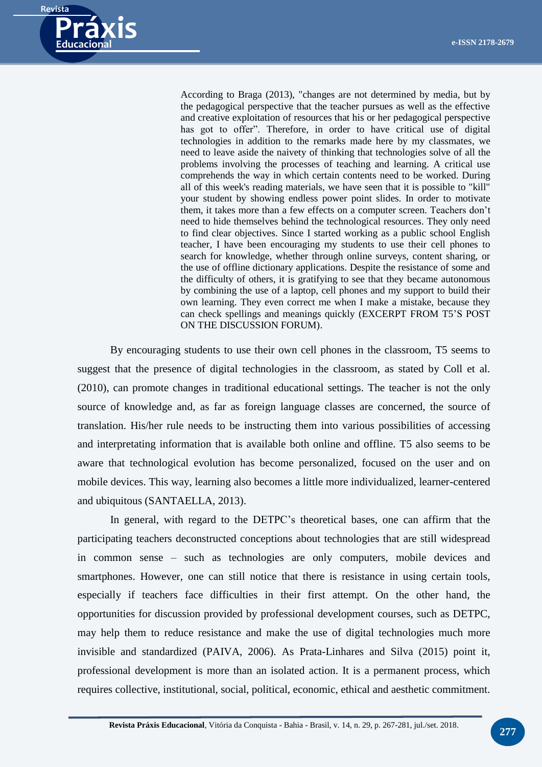

According to Braga (2013), "changes are not determined by media, but by the pedagogical perspective that the teacher pursues as well as the effective and creative exploitation of resources that his or her pedagogical perspective has got to offer". Therefore, in order to have critical use of digital technologies in addition to the remarks made here by my classmates, we need to leave aside the naivety of thinking that technologies solve of all the problems involving the processes of teaching and learning. A critical use comprehends the way in which certain contents need to be worked. During all of this week's reading materials, we have seen that it is possible to "kill" your student by showing endless power point slides. In order to motivate them, it takes more than a few effects on a computer screen. Teachers don't need to hide themselves behind the technological resources. They only need to find clear objectives. Since I started working as a public school English teacher, I have been encouraging my students to use their cell phones to search for knowledge, whether through online surveys, content sharing, or the use of offline dictionary applications. Despite the resistance of some and the difficulty of others, it is gratifying to see that they became autonomous by combining the use of a laptop, cell phones and my support to build their own learning. They even correct me when I make a mistake, because they can check spellings and meanings quickly (EXCERPT FROM T5'S POST ON THE DISCUSSION FORUM).

By encouraging students to use their own cell phones in the classroom, T5 seems to suggest that the presence of digital technologies in the classroom, as stated by Coll et al. (2010), can promote changes in traditional educational settings. The teacher is not the only source of knowledge and, as far as foreign language classes are concerned, the source of translation. His/her rule needs to be instructing them into various possibilities of accessing and interpretating information that is available both online and offline. T5 also seems to be aware that technological evolution has become personalized, focused on the user and on mobile devices. This way, learning also becomes a little more individualized, learner-centered and ubiquitous (SANTAELLA, 2013).

In general, with regard to the DETPC's theoretical bases, one can affirm that the participating teachers deconstructed conceptions about technologies that are still widespread in common sense – such as technologies are only computers, mobile devices and smartphones. However, one can still notice that there is resistance in using certain tools, especially if teachers face difficulties in their first attempt. On the other hand, the opportunities for discussion provided by professional development courses, such as DETPC, may help them to reduce resistance and make the use of digital technologies much more invisible and standardized (PAIVA, 2006). As Prata-Linhares and Silva (2015) point it, professional development is more than an isolated action. It is a permanent process, which requires collective, institutional, social, political, economic, ethical and aesthetic commitment.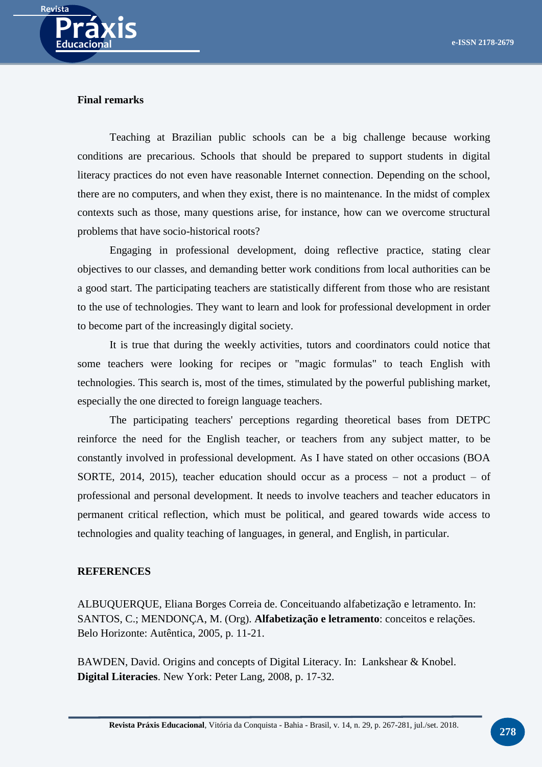

#### **Final remarks**

Teaching at Brazilian public schools can be a big challenge because working conditions are precarious. Schools that should be prepared to support students in digital literacy practices do not even have reasonable Internet connection. Depending on the school, there are no computers, and when they exist, there is no maintenance. In the midst of complex contexts such as those, many questions arise, for instance, how can we overcome structural problems that have socio-historical roots?

Engaging in professional development, doing reflective practice, stating clear objectives to our classes, and demanding better work conditions from local authorities can be a good start. The participating teachers are statistically different from those who are resistant to the use of technologies. They want to learn and look for professional development in order to become part of the increasingly digital society.

It is true that during the weekly activities, tutors and coordinators could notice that some teachers were looking for recipes or "magic formulas" to teach English with technologies. This search is, most of the times, stimulated by the powerful publishing market, especially the one directed to foreign language teachers.

The participating teachers' perceptions regarding theoretical bases from DETPC reinforce the need for the English teacher, or teachers from any subject matter, to be constantly involved in professional development. As I have stated on other occasions (BOA SORTE, 2014, 2015), teacher education should occur as a process  $-$  not a product  $-$  of professional and personal development. It needs to involve teachers and teacher educators in permanent critical reflection, which must be political, and geared towards wide access to technologies and quality teaching of languages, in general, and English, in particular.

#### **REFERENCES**

ALBUQUERQUE, Eliana Borges Correia de. Conceituando alfabetização e letramento. In: SANTOS, C.; MENDONÇA, M. (Org). **Alfabetização e letramento**: conceitos e relações. Belo Horizonte: Autêntica, 2005, p. 11-21.

BAWDEN, David. Origins and concepts of Digital Literacy. In: Lankshear & Knobel. **Digital Literacies**. New York: Peter Lang, 2008, p. 17-32.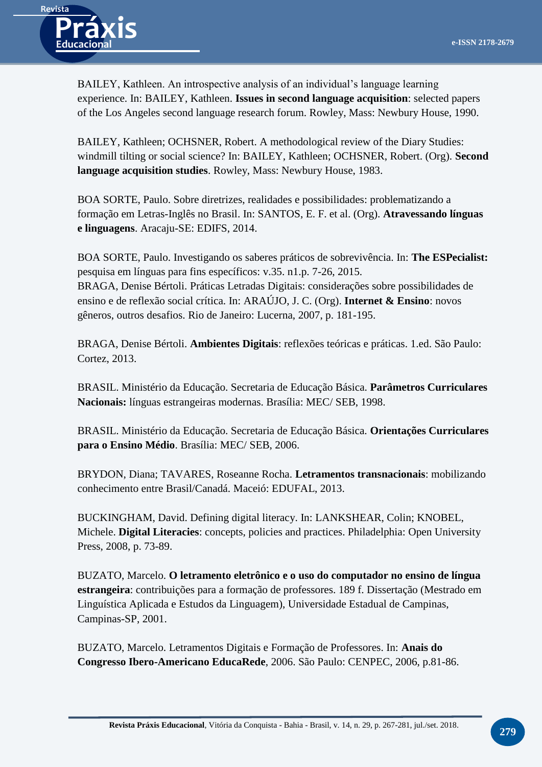

BAILEY, Kathleen. An introspective analysis of an individual's language learning experience. In: BAILEY, Kathleen. **Issues in second language acquisition**: selected papers of the Los Angeles second language research forum. Rowley, Mass: Newbury House, 1990.

BAILEY, Kathleen; OCHSNER, Robert. A methodological review of the Diary Studies: windmill tilting or social science? In: BAILEY, Kathleen; OCHSNER, Robert. (Org). **Second language acquisition studies**. Rowley, Mass: Newbury House, 1983.

BOA SORTE, Paulo. Sobre diretrizes, realidades e possibilidades: problematizando a formação em Letras-Inglês no Brasil. In: SANTOS, E. F. et al. (Org). **Atravessando línguas e linguagens**. Aracaju-SE: EDIFS, 2014.

BOA SORTE, Paulo. Investigando os saberes práticos de sobrevivência. In: **The ESPecialist:**  pesquisa em línguas para fins específicos: v.35. n1.p. 7-26, 2015. BRAGA, Denise Bértoli. Práticas Letradas Digitais: considerações sobre possibilidades de ensino e de reflexão social crítica. In: ARAÚJO, J. C. (Org). **Internet & Ensino**: novos gêneros, outros desafios. Rio de Janeiro: Lucerna, 2007, p. 181-195.

BRAGA, Denise Bértoli. **Ambientes Digitais**: reflexões teóricas e práticas. 1.ed. São Paulo: Cortez, 2013.

BRASIL. Ministério da Educação. Secretaria de Educação Básica. **Parâmetros Curriculares Nacionais:** línguas estrangeiras modernas. Brasília: MEC/ SEB, 1998.

BRASIL. Ministério da Educação. Secretaria de Educação Básica. **Orientações Curriculares para o Ensino Médio**. Brasília: MEC/ SEB, 2006.

BRYDON, Diana; TAVARES, Roseanne Rocha. **Letramentos transnacionais**: mobilizando conhecimento entre Brasil/Canadá. Maceió: EDUFAL, 2013.

BUCKINGHAM, David. Defining digital literacy. In: LANKSHEAR, Colin; KNOBEL, Michele. **Digital Literacies**: concepts, policies and practices. Philadelphia: Open University Press, 2008, p. 73-89.

BUZATO, Marcelo. **O letramento eletrônico e o uso do computador no ensino de língua estrangeira**: contribuições para a formação de professores. 189 f. Dissertação (Mestrado em Linguística Aplicada e Estudos da Linguagem), Universidade Estadual de Campinas, Campinas-SP, 2001.

BUZATO, Marcelo. Letramentos Digitais e Formação de Professores. In: **Anais do Congresso Ibero-Americano EducaRede**, 2006. São Paulo: CENPEC, 2006, p.81-86.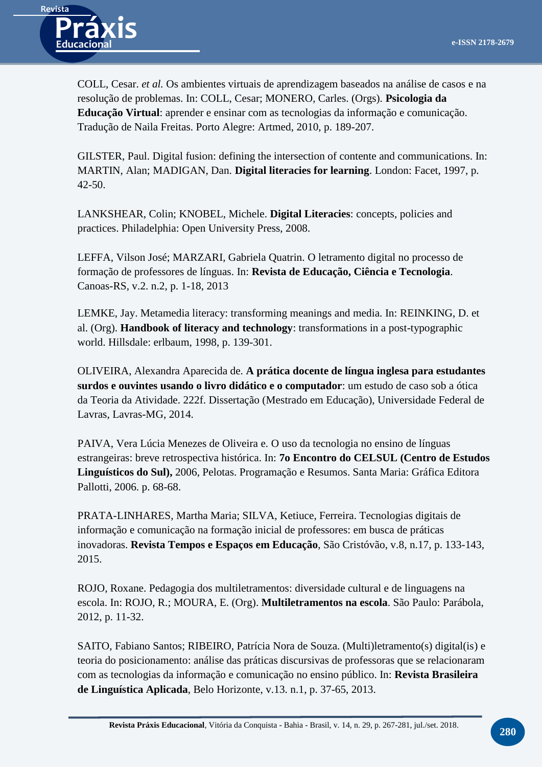

COLL, Cesar. *et al.* Os ambientes virtuais de aprendizagem baseados na análise de casos e na resolução de problemas. In: COLL, Cesar; MONERO, Carles. (Orgs). **Psicologia da Educação Virtual**: aprender e ensinar com as tecnologias da informação e comunicação. Tradução de Naila Freitas. Porto Alegre: Artmed, 2010, p. 189-207.

GILSTER, Paul. Digital fusion: defining the intersection of contente and communications. In: MARTIN, Alan; MADIGAN, Dan. **Digital literacies for learning**. London: Facet, 1997, p. 42-50.

LANKSHEAR, Colin; KNOBEL, Michele. **Digital Literacies**: concepts, policies and practices. Philadelphia: Open University Press, 2008.

LEFFA, Vilson José; MARZARI, Gabriela Quatrin. O letramento digital no processo de formação de professores de línguas. In: **Revista de Educação, Ciência e Tecnologia**. Canoas-RS, v.2. n.2, p. 1-18, 2013

LEMKE, Jay. Metamedia literacy: transforming meanings and media. In: REINKING, D. et al. (Org). **Handbook of literacy and technology**: transformations in a post-typographic world. Hillsdale: erlbaum, 1998, p. 139-301.

OLIVEIRA, Alexandra Aparecida de. **A prática docente de língua inglesa para estudantes surdos e ouvintes usando o livro didático e o computador**: um estudo de caso sob a ótica da Teoria da Atividade. 222f. Dissertação (Mestrado em Educação), Universidade Federal de Lavras, Lavras-MG, 2014.

PAIVA, Vera Lúcia Menezes de Oliveira e. O uso da tecnologia no ensino de línguas estrangeiras: breve retrospectiva histórica. In: **7o Encontro do CELSUL (Centro de Estudos Linguísticos do Sul),** 2006, Pelotas. Programação e Resumos. Santa Maria: Gráfica Editora Pallotti, 2006. p. 68-68.

PRATA-LINHARES, Martha Maria; SILVA, Ketiuce, Ferreira. Tecnologias digitais de informação e comunicação na formação inicial de professores: em busca de práticas inovadoras. **Revista Tempos e Espaços em Educação**, São Cristóvão, v.8, n.17, p. 133-143, 2015.

ROJO, Roxane. Pedagogia dos multiletramentos: diversidade cultural e de linguagens na escola. In: ROJO, R.; MOURA, E. (Org). **Multiletramentos na escola**. São Paulo: Parábola, 2012, p. 11-32.

SAITO, Fabiano Santos; RIBEIRO, Patrícia Nora de Souza. (Multi)letramento(s) digital(is) e teoria do posicionamento: análise das práticas discursivas de professoras que se relacionaram com as tecnologias da informação e comunicação no ensino público. In: **Revista Brasileira de Linguística Aplicada**, Belo Horizonte, v.13. n.1, p. 37-65, 2013.